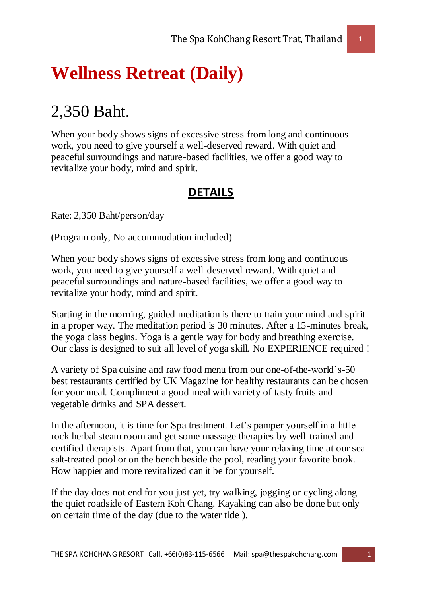## **Wellness Retreat (Daily)**

## 2,350 Baht.

When your body shows signs of excessive stress from long and continuous work, you need to give yourself a well-deserved reward. With quiet and peaceful surroundings and nature-based facilities, we offer a good way to revitalize your body, mind and spirit.

## **DETAILS**

Rate: 2,350 Baht/person/day

(Program only, No accommodation included)

When your body shows signs of excessive stress from long and continuous work, you need to give yourself a well-deserved reward. With quiet and peaceful surroundings and nature-based facilities, we offer a good way to revitalize your body, mind and spirit.

Starting in the morning, guided meditation is there to train your mind and spirit in a proper way. The meditation period is 30 minutes. After a 15-minutes break, the yoga class begins. Yoga is a gentle way for body and breathing exercise. Our class is designed to suit all level of yoga skill. No EXPERIENCE required !

A variety of Spa cuisine and raw food menu from our one-of-the-world's-50 best restaurants certified by UK Magazine for healthy restaurants can be chosen for your meal. Compliment a good meal with variety of tasty fruits and vegetable drinks and SPA dessert.

In the afternoon, it is time for Spa treatment. Let's pamper yourself in a little rock herbal steam room and get some massage therapies by well-trained and certified therapists. Apart from that, you can have your relaxing time at our sea salt-treated pool or on the bench beside the pool, reading your favorite book. How happier and more revitalized can it be for yourself.

If the day does not end for you just yet, try walking, jogging or cycling along the quiet roadside of Eastern Koh Chang. Kayaking can also be done but only on certain time of the day (due to the water tide ).